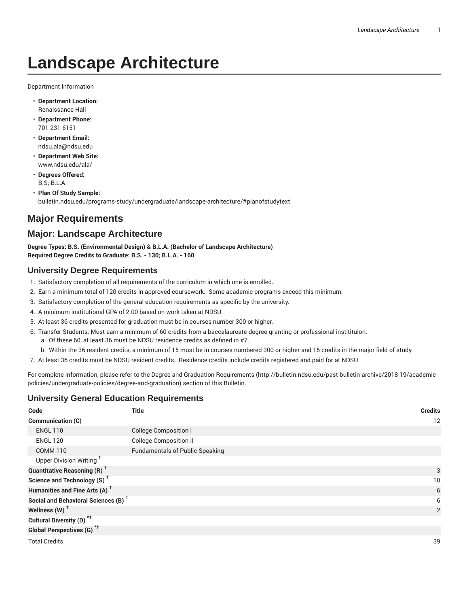# **Landscape Architecture**

Department Information

- **Department Location:** Renaissance Hall
- **Department Phone:** 701-231-6151
- **Department Email:** ndsu.ala@ndsu.edu
- **Department Web Site:** www.ndsu.edu/ala/
- **Degrees Offered:** B.S; B.L.A.
- **Plan Of Study Sample:** bulletin.ndsu.edu/programs-study/undergraduate/landscape-architecture/#planofstudytext

# **Major Requirements**

## **Major: Landscape Architecture**

**Degree Types: B.S. (Environmental Design) & B.L.A. (Bachelor of Landscape Architecture) Required Degree Credits to Graduate: B.S. - 130; B.L.A. - 160**

### **University Degree Requirements**

- 1. Satisfactory completion of all requirements of the curriculum in which one is enrolled.
- 2. Earn a minimum total of 120 credits in approved coursework. Some academic programs exceed this minimum.
- 3. Satisfactory completion of the general education requirements as specific by the university.
- 4. A minimum institutional GPA of 2.00 based on work taken at NDSU.
- 5. At least 36 credits presented for graduation must be in courses number 300 or higher.
- 6. Transfer Students: Must earn a minimum of 60 credits from a baccalaureate-degree granting or professional institituion.
	- a. Of these 60, at least 36 must be NDSU residence credits as defined in #7.
	- b. Within the 36 resident credits, a minimum of 15 must be in courses numbered 300 or higher and 15 credits in the major field of study.
- 7. At least 36 credits must be NDSU resident credits. Residence credits include credits registered and paid for at NDSU.

For complete information, please refer to the Degree and Graduation Requirements (http://bulletin.ndsu.edu/past-bulletin-archive/2018-19/academicpolicies/undergraduate-policies/degree-and-graduation) section of this Bulletin.

## **University General Education Requirements**

| Code                                            | <b>Title</b>                           | <b>Credits</b> |
|-------------------------------------------------|----------------------------------------|----------------|
| Communication (C)                               |                                        | 12             |
| <b>ENGL 110</b>                                 | <b>College Composition I</b>           |                |
| <b>ENGL 120</b>                                 | <b>College Composition II</b>          |                |
| <b>COMM 110</b>                                 | <b>Fundamentals of Public Speaking</b> |                |
| Upper Division Writing <sup>†</sup>             |                                        |                |
| <b>Quantitative Reasoning (R)</b> <sup>†</sup>  |                                        | 3              |
| Science and Technology (S) <sup>+</sup>         |                                        | 10             |
| Humanities and Fine Arts (A) <sup>+</sup>       | 6                                      |                |
| Social and Behavioral Sciences (B) <sup>+</sup> |                                        | 6              |
| Wellness $(W)$ <sup>+</sup>                     |                                        | $\overline{2}$ |
| Cultural Diversity (D) <sup>*†</sup>            |                                        |                |
| <b>Global Perspectives (G)</b> <sup>*†</sup>    |                                        |                |
| <b>Total Credits</b>                            |                                        | 39             |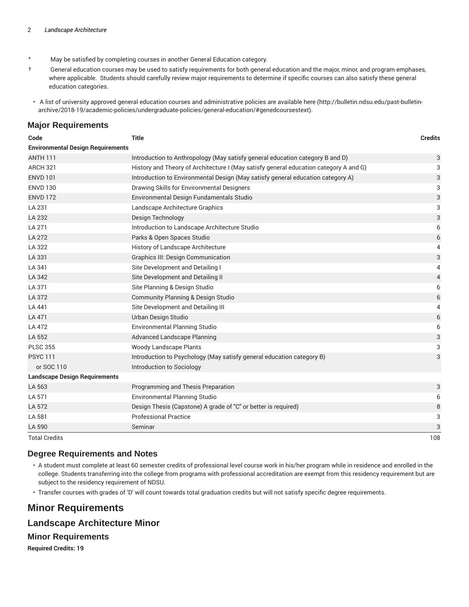- \* May be satisfied by completing courses in another General Education category.
- † General education courses may be used to satisfy requirements for both general education and the major, minor, and program emphases, where applicable. Students should carefully review major requirements to determine if specific courses can also satisfy these general education categories.
- A list of university approved general education courses and administrative policies are available here (http://bulletin.ndsu.edu/past-bulletinarchive/2018-19/academic-policies/undergraduate-policies/general-education/#genedcoursestext).

#### **Major Requirements**

| Code                                     | <b>Title</b>                                                                          | <b>Credits</b> |
|------------------------------------------|---------------------------------------------------------------------------------------|----------------|
| <b>Environmental Design Requirements</b> |                                                                                       |                |
| <b>ANTH 111</b>                          | Introduction to Anthropology (May satisfy general education category B and D)         | 3              |
| <b>ARCH 321</b>                          | History and Theory of Architecture I (May satisfy general education category A and G) | 3              |
| <b>ENVD 101</b>                          | Introduction to Environmental Design (May satisfy general education category A)       | 3              |
| <b>ENVD 130</b>                          | Drawing Skills for Environmental Designers                                            | 3              |
| <b>ENVD 172</b>                          | Environmental Design Fundamentals Studio                                              | 3              |
| LA 231                                   | Landscape Architecture Graphics                                                       | 3              |
| LA 232                                   | Design Technology                                                                     | 3              |
| LA 271                                   | Introduction to Landscape Architecture Studio                                         | 6              |
| LA 272                                   | Parks & Open Spaces Studio                                                            | 6              |
| LA 322                                   | History of Landscape Architecture                                                     | 4              |
| LA 331                                   | <b>Graphics III: Design Communication</b>                                             | 3              |
| LA 341                                   | Site Development and Detailing I                                                      | 4              |
| LA 342                                   | Site Development and Detailing II                                                     | 4              |
| LA 371                                   | Site Planning & Design Studio                                                         | 6              |
| LA 372                                   | <b>Community Planning &amp; Design Studio</b>                                         | 6              |
| LA 441                                   | Site Development and Detailing III                                                    | 4              |
| LA 471                                   | Urban Design Studio                                                                   | 6              |
| LA 472                                   | <b>Environmental Planning Studio</b>                                                  | 6              |
| LA 552                                   | Advanced Landscape Planning                                                           | 3              |
| <b>PLSC 355</b>                          | <b>Woody Landscape Plants</b>                                                         | 3              |
| <b>PSYC 111</b>                          | Introduction to Psychology (May satisfy general education category B)                 | 3              |
| or SOC 110                               | Introduction to Sociology                                                             |                |
| <b>Landscape Design Requirements</b>     |                                                                                       |                |
| LA 563                                   | Programming and Thesis Preparation                                                    | 3              |
| LA 571                                   | <b>Environmental Planning Studio</b>                                                  | 6              |
| LA 572                                   | Design Thesis (Capstone) A grade of "C" or better is required)                        | 8              |
| LA 581                                   | <b>Professional Practice</b>                                                          | 3              |
| LA 590                                   | Seminar                                                                               | 3              |
| <b>Total Credits</b>                     |                                                                                       | 108            |

#### **Degree Requirements and Notes**

- A student must complete at least 60 semester credits of professional level course work in his/her program while in residence and enrolled in the college. Students transferring into the college from programs with professional accreditation are exempt from this residency requirement but are subject to the residency requirement of NDSU.
- Transfer courses with grades of 'D' will count towards total graduation credits but will not satisfy specific degree requirements.

## **Minor Requirements**

#### **Landscape Architecture Minor**

#### **Minor Requirements**

**Required Credits: 19**